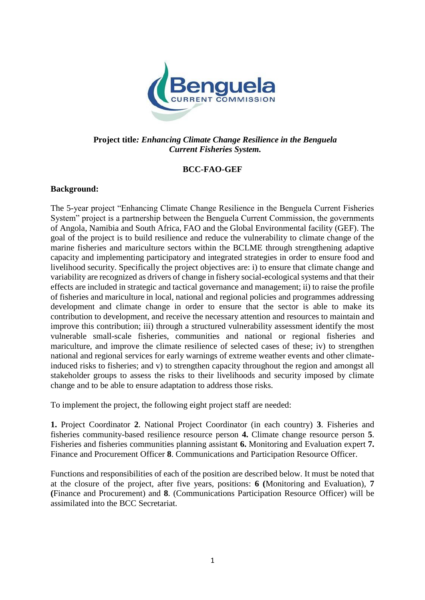

## **Project title***: Enhancing Climate Change Resilience in the Benguela Current Fisheries System.*

### **BCC-FAO-GEF**

### **Background:**

The 5-year project "Enhancing Climate Change Resilience in the Benguela Current Fisheries System" project is a partnership between the Benguela Current Commission, the governments of Angola, Namibia and South Africa, FAO and the Global Environmental facility (GEF). The goal of the project is to build resilience and reduce the vulnerability to climate change of the marine fisheries and mariculture sectors within the BCLME through strengthening adaptive capacity and implementing participatory and integrated strategies in order to ensure food and livelihood security. Specifically the project objectives are: i) to ensure that climate change and variability are recognized as drivers of change in fishery social-ecological systems and that their effects are included in strategic and tactical governance and management; ii) to raise the profile of fisheries and mariculture in local, national and regional policies and programmes addressing development and climate change in order to ensure that the sector is able to make its contribution to development, and receive the necessary attention and resources to maintain and improve this contribution; iii) through a structured vulnerability assessment identify the most vulnerable small-scale fisheries, communities and national or regional fisheries and mariculture, and improve the climate resilience of selected cases of these; iv) to strengthen national and regional services for early warnings of extreme weather events and other climateinduced risks to fisheries; and v) to strengthen capacity throughout the region and amongst all stakeholder groups to assess the risks to their livelihoods and security imposed by climate change and to be able to ensure adaptation to address those risks.

To implement the project, the following eight project staff are needed:

**1.** Project Coordinator **2**. National Project Coordinator (in each country) **3**. Fisheries and fisheries community-based resilience resource person **4.** Climate change resource person **5**. Fisheries and fisheries communities planning assistant **6.** Monitoring and Evaluation expert **7.** Finance and Procurement Officer **8**. Communications and Participation Resource Officer.

Functions and responsibilities of each of the position are described below. It must be noted that at the closure of the project, after five years, positions: **6 (**Monitoring and Evaluation), **7 (**Finance and Procurement) and **8**. (Communications Participation Resource Officer) will be assimilated into the BCC Secretariat.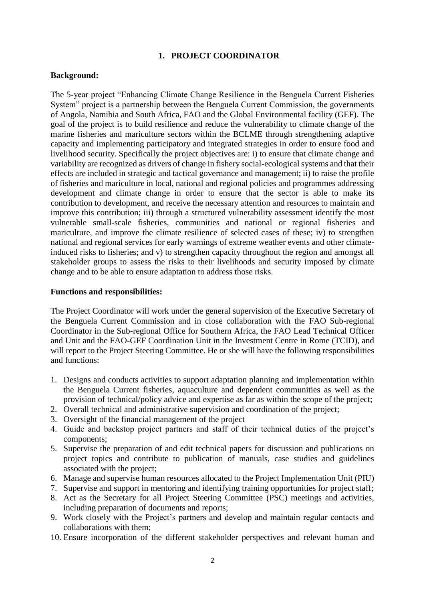#### **1. PROJECT COORDINATOR**

#### **Background:**

The 5-year project "Enhancing Climate Change Resilience in the Benguela Current Fisheries System" project is a partnership between the Benguela Current Commission, the governments of Angola, Namibia and South Africa, FAO and the Global Environmental facility (GEF). The goal of the project is to build resilience and reduce the vulnerability to climate change of the marine fisheries and mariculture sectors within the BCLME through strengthening adaptive capacity and implementing participatory and integrated strategies in order to ensure food and livelihood security. Specifically the project objectives are: i) to ensure that climate change and variability are recognized as drivers of change in fishery social-ecological systems and that their effects are included in strategic and tactical governance and management; ii) to raise the profile of fisheries and mariculture in local, national and regional policies and programmes addressing development and climate change in order to ensure that the sector is able to make its contribution to development, and receive the necessary attention and resources to maintain and improve this contribution; iii) through a structured vulnerability assessment identify the most vulnerable small-scale fisheries, communities and national or regional fisheries and mariculture, and improve the climate resilience of selected cases of these; iv) to strengthen national and regional services for early warnings of extreme weather events and other climateinduced risks to fisheries; and v) to strengthen capacity throughout the region and amongst all stakeholder groups to assess the risks to their livelihoods and security imposed by climate change and to be able to ensure adaptation to address those risks.

#### **Functions and responsibilities:**

The Project Coordinator will work under the general supervision of the Executive Secretary of the Benguela Current Commission and in close collaboration with the FAO Sub-regional Coordinator in the Sub-regional Office for Southern Africa, the FAO Lead Technical Officer and Unit and the FAO-GEF Coordination Unit in the Investment Centre in Rome (TCID), and will report to the Project Steering Committee. He or she will have the following responsibilities and functions:

- 1. Designs and conducts activities to support adaptation planning and implementation within the Benguela Current fisheries, aquaculture and dependent communities as well as the provision of technical/policy advice and expertise as far as within the scope of the project;
- 2. Overall technical and administrative supervision and coordination of the project;
- 3. Oversight of the financial management of the project
- 4. Guide and backstop project partners and staff of their technical duties of the project's components;
- 5. Supervise the preparation of and edit technical papers for discussion and publications on project topics and contribute to publication of manuals, case studies and guidelines associated with the project;
- 6. Manage and supervise human resources allocated to the Project Implementation Unit (PIU)
- 7. Supervise and support in mentoring and identifying training opportunities for project staff;
- 8. Act as the Secretary for all Project Steering Committee (PSC) meetings and activities, including preparation of documents and reports;
- 9. Work closely with the Project's partners and develop and maintain regular contacts and collaborations with them;
- 10. Ensure incorporation of the different stakeholder perspectives and relevant human and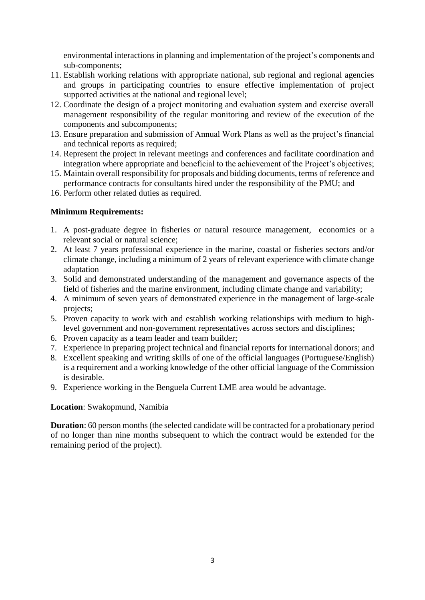environmental interactions in planning and implementation of the project's components and sub-components;

- 11. Establish working relations with appropriate national, sub regional and regional agencies and groups in participating countries to ensure effective implementation of project supported activities at the national and regional level;
- 12. Coordinate the design of a project monitoring and evaluation system and exercise overall management responsibility of the regular monitoring and review of the execution of the components and subcomponents;
- 13. Ensure preparation and submission of Annual Work Plans as well as the project's financial and technical reports as required;
- 14. Represent the project in relevant meetings and conferences and facilitate coordination and integration where appropriate and beneficial to the achievement of the Project's objectives;
- 15. Maintain overall responsibility for proposals and bidding documents, terms of reference and performance contracts for consultants hired under the responsibility of the PMU; and
- 16. Perform other related duties as required.

## **Minimum Requirements:**

- 1. A post-graduate degree in fisheries or natural resource management, economics or a relevant social or natural science;
- 2. At least 7 years professional experience in the marine, coastal or fisheries sectors and/or climate change, including a minimum of 2 years of relevant experience with climate change adaptation
- 3. Solid and demonstrated understanding of the management and governance aspects of the field of fisheries and the marine environment, including climate change and variability;
- 4. A minimum of seven years of demonstrated experience in the management of large-scale projects;
- 5. Proven capacity to work with and establish working relationships with medium to highlevel government and non-government representatives across sectors and disciplines;
- 6. Proven capacity as a team leader and team builder;
- 7. Experience in preparing project technical and financial reports for international donors; and
- 8. Excellent speaking and writing skills of one of the official languages (Portuguese/English) is a requirement and a working knowledge of the other official language of the Commission is desirable.
- 9. Experience working in the Benguela Current LME area would be advantage.

#### **Location**: Swakopmund, Namibia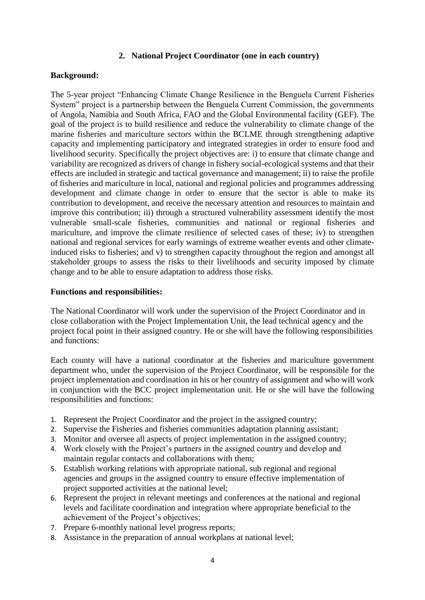### **2. National Project Coordinator (one in each country)**

### **Background:**

The 5-year project "Enhancing Climate Change Resilience in the Benguela Current Fisheries System" project is a partnership between the Benguela Current Commission, the governments of Angola, Namibia and South Africa, FAO and the Global Environmental facility (GEF). The goal of the project is to build resilience and reduce the vulnerability to climate change of the marine fisheries and mariculture sectors within the BCLME through strengthening adaptive capacity and implementing participatory and integrated strategies in order to ensure food and livelihood security. Specifically the project objectives are: i) to ensure that climate change and variability are recognized as drivers of change in fishery social-ecological systems and that their effects are included in strategic and tactical governance and management; ii) to raise the profile of fisheries and mariculture in local, national and regional policies and programmes addressing development and climate change in order to ensure that the sector is able to make its contribution to development, and receive the necessary attention and resources to maintain and improve this contribution; iii) through a structured vulnerability assessment identify the most vulnerable small-scale fisheries, communities and national or regional fisheries and mariculture, and improve the climate resilience of selected cases of these; iv) to strengthen national and regional services for early warnings of extreme weather events and other climateinduced risks to fisheries; and v) to strengthen capacity throughout the region and amongst all stakeholder groups to assess the risks to their livelihoods and security imposed by climate change and to be able to ensure adaptation to address those risks.

#### **Functions and responsibilities:**

The National Coordinator will work under the supervision of the Project Coordinator and in close collaboration with the Project Implementation Unit, the lead technical agency and the project focal point in their assigned country. He or she will have the following responsibilities and functions:

Each county will have a national coordinator at the fisheries and mariculture government department who, under the supervision of the Project Coordinator, will be responsible for the project implementation and coordination in his or her country of assignment and who will work in conjunction with the BCC project implementation unit. He or she will have the following responsibilities and functions:

- 1. Represent the Project Coordinator and the project in the assigned country;
- 2. Supervise the Fisheries and fisheries communities adaptation planning assistant;
- 3. Monitor and oversee all aspects of project implementation in the assigned country;
- 4. Work closely with the Project's partners in the assigned country and develop and maintain regular contacts and collaborations with them;
- 5. Establish working relations with appropriate national, sub regional and regional agencies and groups in the assigned country to ensure effective implementation of project supported activities at the national level;
- 6. Represent the project in relevant meetings and conferences at the national and regional levels and facilitate coordination and integration where appropriate beneficial to the achievement of the Project's objectives;
- 7. Prepare 6-monthly national level progress reports;
- 8. Assistance in the preparation of annual workplans at national level;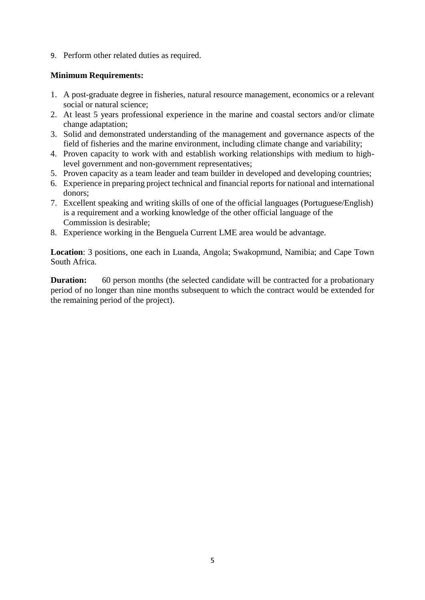9. Perform other related duties as required.

## **Minimum Requirements:**

- 1. A post-graduate degree in fisheries, natural resource management, economics or a relevant social or natural science;
- 2. At least 5 years professional experience in the marine and coastal sectors and/or climate change adaptation;
- 3. Solid and demonstrated understanding of the management and governance aspects of the field of fisheries and the marine environment, including climate change and variability;
- 4. Proven capacity to work with and establish working relationships with medium to highlevel government and non-government representatives;
- 5. Proven capacity as a team leader and team builder in developed and developing countries;
- 6. Experience in preparing project technical and financial reports for national and international donors;
- 7. Excellent speaking and writing skills of one of the official languages (Portuguese/English) is a requirement and a working knowledge of the other official language of the Commission is desirable;
- 8. Experience working in the Benguela Current LME area would be advantage.

**Location**: 3 positions, one each in Luanda, Angola; Swakopmund, Namibia; and Cape Town South Africa.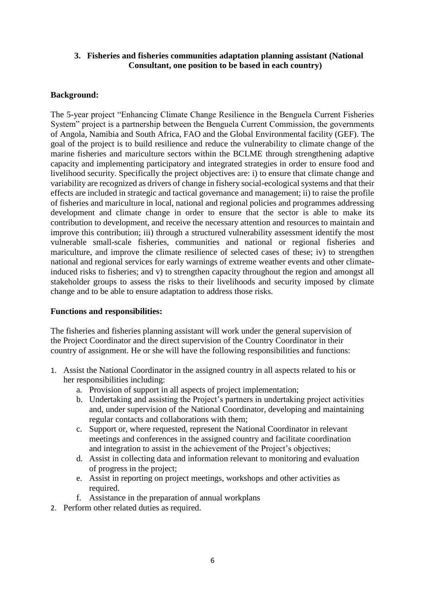## **3. Fisheries and fisheries communities adaptation planning assistant (National Consultant, one position to be based in each country)**

## **Background:**

The 5-year project "Enhancing Climate Change Resilience in the Benguela Current Fisheries System" project is a partnership between the Benguela Current Commission, the governments of Angola, Namibia and South Africa, FAO and the Global Environmental facility (GEF). The goal of the project is to build resilience and reduce the vulnerability to climate change of the marine fisheries and mariculture sectors within the BCLME through strengthening adaptive capacity and implementing participatory and integrated strategies in order to ensure food and livelihood security. Specifically the project objectives are: i) to ensure that climate change and variability are recognized as drivers of change in fishery social-ecological systems and that their effects are included in strategic and tactical governance and management; ii) to raise the profile of fisheries and mariculture in local, national and regional policies and programmes addressing development and climate change in order to ensure that the sector is able to make its contribution to development, and receive the necessary attention and resources to maintain and improve this contribution; iii) through a structured vulnerability assessment identify the most vulnerable small-scale fisheries, communities and national or regional fisheries and mariculture, and improve the climate resilience of selected cases of these; iv) to strengthen national and regional services for early warnings of extreme weather events and other climateinduced risks to fisheries; and v) to strengthen capacity throughout the region and amongst all stakeholder groups to assess the risks to their livelihoods and security imposed by climate change and to be able to ensure adaptation to address those risks.

## **Functions and responsibilities:**

The fisheries and fisheries planning assistant will work under the general supervision of the Project Coordinator and the direct supervision of the Country Coordinator in their country of assignment. He or she will have the following responsibilities and functions:

- 1. Assist the National Coordinator in the assigned country in all aspects related to his or her responsibilities including:
	- a. Provision of support in all aspects of project implementation;
	- b. Undertaking and assisting the Project's partners in undertaking project activities and, under supervision of the National Coordinator, developing and maintaining regular contacts and collaborations with them;
	- c. Support or, where requested, represent the National Coordinator in relevant meetings and conferences in the assigned country and facilitate coordination and integration to assist in the achievement of the Project's objectives;
	- d. Assist in collecting data and information relevant to monitoring and evaluation of progress in the project;
	- e. Assist in reporting on project meetings, workshops and other activities as required.
	- f. Assistance in the preparation of annual workplans
- 2. Perform other related duties as required.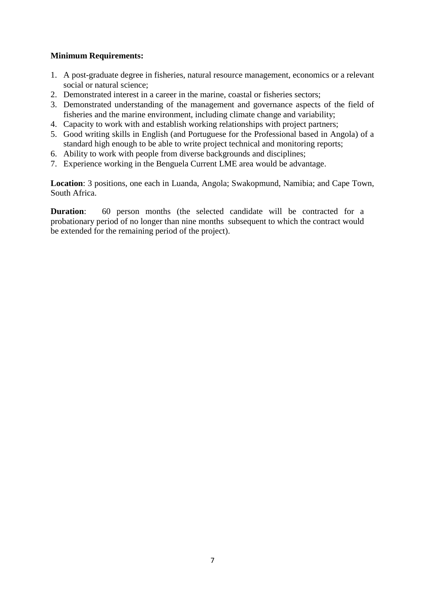- 1. A post-graduate degree in fisheries, natural resource management, economics or a relevant social or natural science;
- 2. Demonstrated interest in a career in the marine, coastal or fisheries sectors;
- 3. Demonstrated understanding of the management and governance aspects of the field of fisheries and the marine environment, including climate change and variability;
- 4. Capacity to work with and establish working relationships with project partners;
- 5. Good writing skills in English (and Portuguese for the Professional based in Angola) of a standard high enough to be able to write project technical and monitoring reports;
- 6. Ability to work with people from diverse backgrounds and disciplines;
- 7. Experience working in the Benguela Current LME area would be advantage.

**Location**: 3 positions, one each in Luanda, Angola; Swakopmund, Namibia; and Cape Town, South Africa.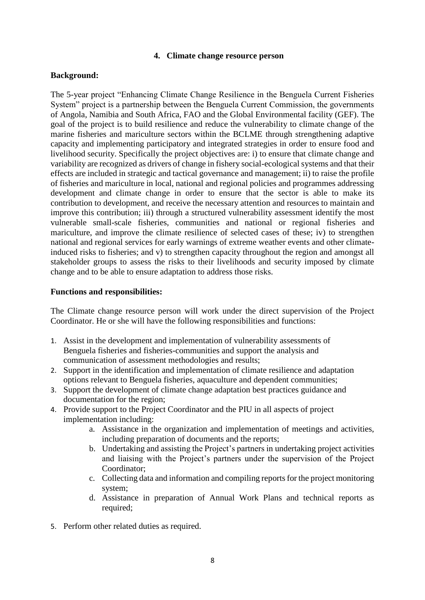### **4. Climate change resource person**

### **Background:**

The 5-year project "Enhancing Climate Change Resilience in the Benguela Current Fisheries System" project is a partnership between the Benguela Current Commission, the governments of Angola, Namibia and South Africa, FAO and the Global Environmental facility (GEF). The goal of the project is to build resilience and reduce the vulnerability to climate change of the marine fisheries and mariculture sectors within the BCLME through strengthening adaptive capacity and implementing participatory and integrated strategies in order to ensure food and livelihood security. Specifically the project objectives are: i) to ensure that climate change and variability are recognized as drivers of change in fishery social-ecological systems and that their effects are included in strategic and tactical governance and management; ii) to raise the profile of fisheries and mariculture in local, national and regional policies and programmes addressing development and climate change in order to ensure that the sector is able to make its contribution to development, and receive the necessary attention and resources to maintain and improve this contribution; iii) through a structured vulnerability assessment identify the most vulnerable small-scale fisheries, communities and national or regional fisheries and mariculture, and improve the climate resilience of selected cases of these; iv) to strengthen national and regional services for early warnings of extreme weather events and other climateinduced risks to fisheries; and v) to strengthen capacity throughout the region and amongst all stakeholder groups to assess the risks to their livelihoods and security imposed by climate change and to be able to ensure adaptation to address those risks.

#### **Functions and responsibilities:**

The Climate change resource person will work under the direct supervision of the Project Coordinator. He or she will have the following responsibilities and functions:

- 1. Assist in the development and implementation of vulnerability assessments of Benguela fisheries and fisheries-communities and support the analysis and communication of assessment methodologies and results;
- 2. Support in the identification and implementation of climate resilience and adaptation options relevant to Benguela fisheries, aquaculture and dependent communities;
- 3. Support the development of climate change adaptation best practices guidance and documentation for the region;
- 4. Provide support to the Project Coordinator and the PIU in all aspects of project implementation including:
	- a. Assistance in the organization and implementation of meetings and activities, including preparation of documents and the reports;
	- b. Undertaking and assisting the Project's partners in undertaking project activities and liaising with the Project's partners under the supervision of the Project Coordinator;
	- c. Collecting data and information and compiling reports for the project monitoring system;
	- d. Assistance in preparation of Annual Work Plans and technical reports as required;
- 5. Perform other related duties as required.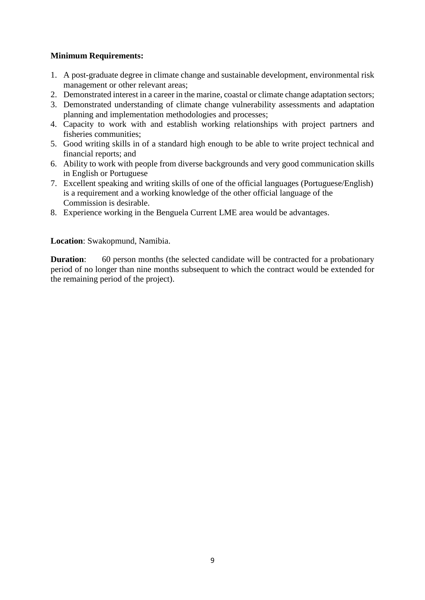- 1. A post-graduate degree in climate change and sustainable development, environmental risk management or other relevant areas;
- 2. Demonstrated interest in a career in the marine, coastal or climate change adaptation sectors;
- 3. Demonstrated understanding of climate change vulnerability assessments and adaptation planning and implementation methodologies and processes;
- 4. Capacity to work with and establish working relationships with project partners and fisheries communities;
- 5. Good writing skills in of a standard high enough to be able to write project technical and financial reports; and
- 6. Ability to work with people from diverse backgrounds and very good communication skills in English or Portuguese
- 7. Excellent speaking and writing skills of one of the official languages (Portuguese/English) is a requirement and a working knowledge of the other official language of the Commission is desirable.
- 8. Experience working in the Benguela Current LME area would be advantages.

### **Location**: Swakopmund, Namibia.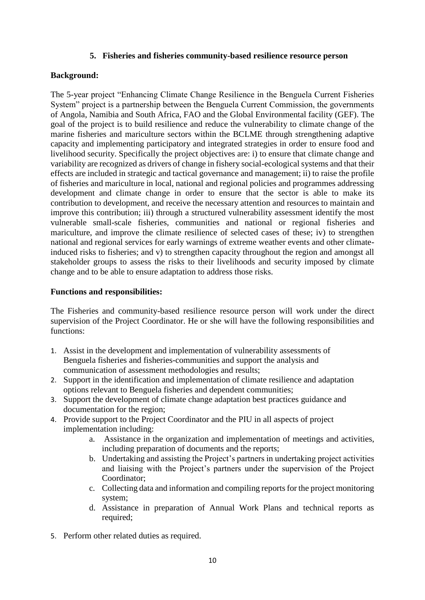### **5. Fisheries and fisheries community-based resilience resource person**

## **Background:**

The 5-year project "Enhancing Climate Change Resilience in the Benguela Current Fisheries System" project is a partnership between the Benguela Current Commission, the governments of Angola, Namibia and South Africa, FAO and the Global Environmental facility (GEF). The goal of the project is to build resilience and reduce the vulnerability to climate change of the marine fisheries and mariculture sectors within the BCLME through strengthening adaptive capacity and implementing participatory and integrated strategies in order to ensure food and livelihood security. Specifically the project objectives are: i) to ensure that climate change and variability are recognized as drivers of change in fishery social-ecological systems and that their effects are included in strategic and tactical governance and management; ii) to raise the profile of fisheries and mariculture in local, national and regional policies and programmes addressing development and climate change in order to ensure that the sector is able to make its contribution to development, and receive the necessary attention and resources to maintain and improve this contribution; iii) through a structured vulnerability assessment identify the most vulnerable small-scale fisheries, communities and national or regional fisheries and mariculture, and improve the climate resilience of selected cases of these; iv) to strengthen national and regional services for early warnings of extreme weather events and other climateinduced risks to fisheries; and v) to strengthen capacity throughout the region and amongst all stakeholder groups to assess the risks to their livelihoods and security imposed by climate change and to be able to ensure adaptation to address those risks.

### **Functions and responsibilities:**

The Fisheries and community-based resilience resource person will work under the direct supervision of the Project Coordinator. He or she will have the following responsibilities and functions:

- 1. Assist in the development and implementation of vulnerability assessments of Benguela fisheries and fisheries-communities and support the analysis and communication of assessment methodologies and results;
- 2. Support in the identification and implementation of climate resilience and adaptation options relevant to Benguela fisheries and dependent communities;
- 3. Support the development of climate change adaptation best practices guidance and documentation for the region;
- 4. Provide support to the Project Coordinator and the PIU in all aspects of project implementation including:
	- a. Assistance in the organization and implementation of meetings and activities, including preparation of documents and the reports;
	- b. Undertaking and assisting the Project's partners in undertaking project activities and liaising with the Project's partners under the supervision of the Project Coordinator;
	- c. Collecting data and information and compiling reports for the project monitoring system;
	- d. Assistance in preparation of Annual Work Plans and technical reports as required;
- 5. Perform other related duties as required.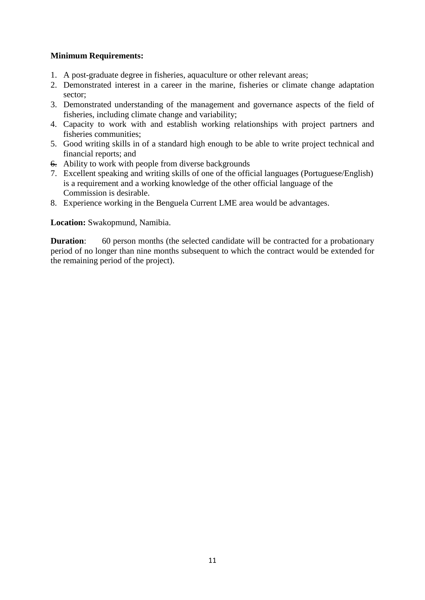- 1. A post-graduate degree in fisheries, aquaculture or other relevant areas;
- 2. Demonstrated interest in a career in the marine, fisheries or climate change adaptation sector;
- 3. Demonstrated understanding of the management and governance aspects of the field of fisheries, including climate change and variability;
- 4. Capacity to work with and establish working relationships with project partners and fisheries communities;
- 5. Good writing skills in of a standard high enough to be able to write project technical and financial reports; and
- 6. Ability to work with people from diverse backgrounds
- 7. Excellent speaking and writing skills of one of the official languages (Portuguese/English) is a requirement and a working knowledge of the other official language of the Commission is desirable.
- 8. Experience working in the Benguela Current LME area would be advantages.

**Location:** Swakopmund, Namibia.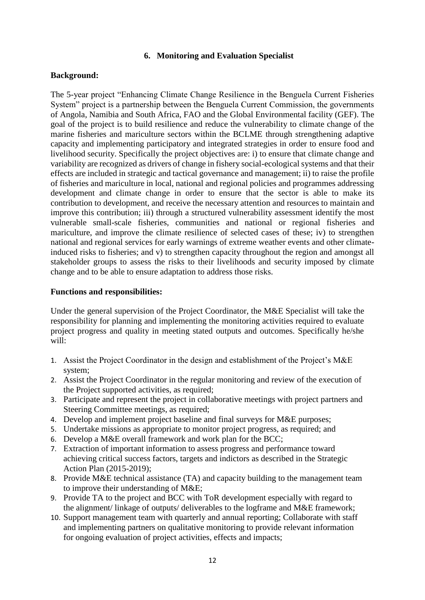### **6. Monitoring and Evaluation Specialist**

## **Background:**

The 5-year project "Enhancing Climate Change Resilience in the Benguela Current Fisheries System" project is a partnership between the Benguela Current Commission, the governments of Angola, Namibia and South Africa, FAO and the Global Environmental facility (GEF). The goal of the project is to build resilience and reduce the vulnerability to climate change of the marine fisheries and mariculture sectors within the BCLME through strengthening adaptive capacity and implementing participatory and integrated strategies in order to ensure food and livelihood security. Specifically the project objectives are: i) to ensure that climate change and variability are recognized as drivers of change in fishery social-ecological systems and that their effects are included in strategic and tactical governance and management; ii) to raise the profile of fisheries and mariculture in local, national and regional policies and programmes addressing development and climate change in order to ensure that the sector is able to make its contribution to development, and receive the necessary attention and resources to maintain and improve this contribution; iii) through a structured vulnerability assessment identify the most vulnerable small-scale fisheries, communities and national or regional fisheries and mariculture, and improve the climate resilience of selected cases of these; iv) to strengthen national and regional services for early warnings of extreme weather events and other climateinduced risks to fisheries; and v) to strengthen capacity throughout the region and amongst all stakeholder groups to assess the risks to their livelihoods and security imposed by climate change and to be able to ensure adaptation to address those risks.

### **Functions and responsibilities:**

Under the general supervision of the Project Coordinator, the M&E Specialist will take the responsibility for planning and implementing the monitoring activities required to evaluate project progress and quality in meeting stated outputs and outcomes. Specifically he/she will:

- 1. Assist the Project Coordinator in the design and establishment of the Project's M&E system;
- 2. Assist the Project Coordinator in the regular monitoring and review of the execution of the Project supported activities, as required;
- 3. Participate and represent the project in collaborative meetings with project partners and Steering Committee meetings, as required;
- 4. Develop and implement project baseline and final surveys for M&E purposes;
- 5. Undertake missions as appropriate to monitor project progress, as required; and
- 6. Develop a M&E overall framework and work plan for the BCC;
- 7. Extraction of important information to assess progress and performance toward achieving critical success factors, targets and indictors as described in the Strategic Action Plan (2015-2019);
- 8. Provide M&E technical assistance (TA) and capacity building to the management team to improve their understanding of M&E;
- 9. Provide TA to the project and BCC with ToR development especially with regard to the alignment/ linkage of outputs/ deliverables to the logframe and M&E framework;
- 10. Support management team with quarterly and annual reporting; Collaborate with staff and implementing partners on qualitative monitoring to provide relevant information for ongoing evaluation of project activities, effects and impacts;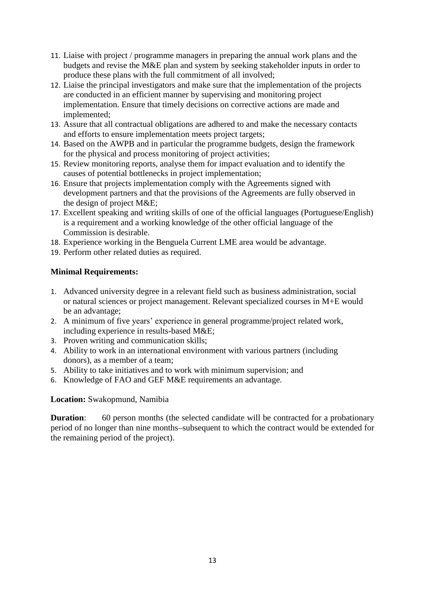- 11. Liaise with project / programme managers in preparing the annual work plans and the budgets and revise the M&E plan and system by seeking stakeholder inputs in order to produce these plans with the full commitment of all involved;
- 12. Liaise the principal investigators and make sure that the implementation of the projects are conducted in an efficient manner by supervising and monitoring project implementation. Ensure that timely decisions on corrective actions are made and implemented;
- 13. Assure that all contractual obligations are adhered to and make the necessary contacts and efforts to ensure implementation meets project targets;
- 14. Based on the AWPB and in particular the programme budgets, design the framework for the physical and process monitoring of project activities;
- 15. Review monitoring reports, analyse them for impact evaluation and to identify the causes of potential bottlenecks in project implementation;
- 16. Ensure that projects implementation comply with the Agreements signed with development partners and that the provisions of the Agreements are fully observed in the design of project M&E;
- 17. Excellent speaking and writing skills of one of the official languages (Portuguese/English) is a requirement and a working knowledge of the other official language of the Commission is desirable.
- 18. Experience working in the Benguela Current LME area would be advantage.
- 19. Perform other related duties as required.

- 1. Advanced university degree in a relevant field such as business administration, social or natural sciences or project management. Relevant specialized courses in M+E would be an advantage;
- 2. A minimum of five years' experience in general programme/project related work, including experience in results-based M&E;
- 3. Proven writing and communication skills;
- 4. Ability to work in an international environment with various partners (including donors), as a member of a team;
- 5. Ability to take initiatives and to work with minimum supervision; and
- 6. Knowledge of FAO and GEF M&E requirements an advantage.

## **Location:** Swakopmund, Namibia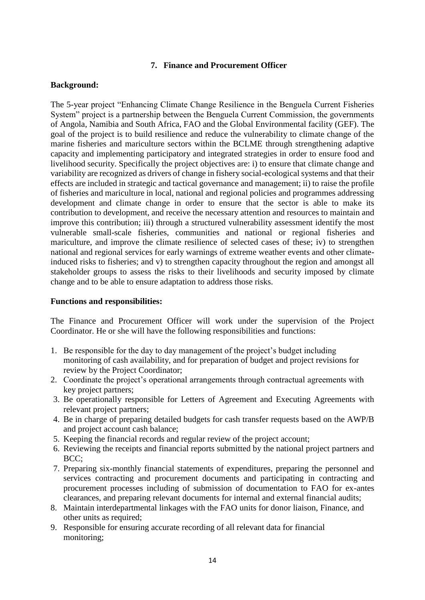### **7. Finance and Procurement Officer**

### **Background:**

The 5-year project "Enhancing Climate Change Resilience in the Benguela Current Fisheries System" project is a partnership between the Benguela Current Commission, the governments of Angola, Namibia and South Africa, FAO and the Global Environmental facility (GEF). The goal of the project is to build resilience and reduce the vulnerability to climate change of the marine fisheries and mariculture sectors within the BCLME through strengthening adaptive capacity and implementing participatory and integrated strategies in order to ensure food and livelihood security. Specifically the project objectives are: i) to ensure that climate change and variability are recognized as drivers of change in fishery social-ecological systems and that their effects are included in strategic and tactical governance and management; ii) to raise the profile of fisheries and mariculture in local, national and regional policies and programmes addressing development and climate change in order to ensure that the sector is able to make its contribution to development, and receive the necessary attention and resources to maintain and improve this contribution; iii) through a structured vulnerability assessment identify the most vulnerable small-scale fisheries, communities and national or regional fisheries and mariculture, and improve the climate resilience of selected cases of these; iv) to strengthen national and regional services for early warnings of extreme weather events and other climateinduced risks to fisheries; and v) to strengthen capacity throughout the region and amongst all stakeholder groups to assess the risks to their livelihoods and security imposed by climate change and to be able to ensure adaptation to address those risks.

#### **Functions and responsibilities:**

The Finance and Procurement Officer will work under the supervision of the Project Coordinator. He or she will have the following responsibilities and functions:

- 1. Be responsible for the day to day management of the project's budget including monitoring of cash availability, and for preparation of budget and project revisions for review by the Project Coordinator;
- 2. Coordinate the project's operational arrangements through contractual agreements with key project partners;
- 3. Be operationally responsible for Letters of Agreement and Executing Agreements with relevant project partners;
- 4. Be in charge of preparing detailed budgets for cash transfer requests based on the AWP/B and project account cash balance;
- 5. Keeping the financial records and regular review of the project account;
- 6. Reviewing the receipts and financial reports submitted by the national project partners and BCC;
- 7. Preparing six-monthly financial statements of expenditures, preparing the personnel and services contracting and procurement documents and participating in contracting and procurement processes including of submission of documentation to FAO for ex-antes clearances, and preparing relevant documents for internal and external financial audits;
- 8. Maintain interdepartmental linkages with the FAO units for donor liaison, Finance, and other units as required;
- 9. Responsible for ensuring accurate recording of all relevant data for financial monitoring;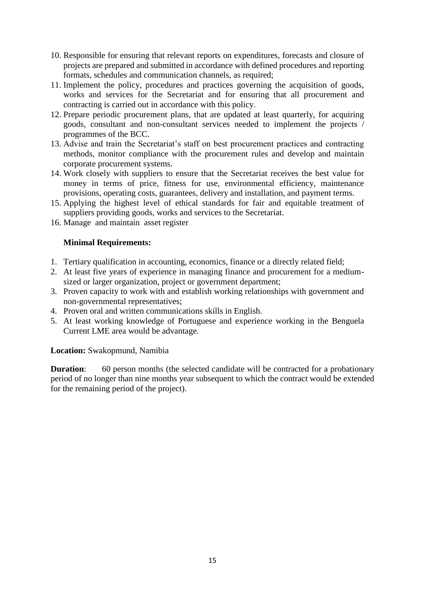- 10. Responsible for ensuring that relevant reports on expenditures, forecasts and closure of projects are prepared and submitted in accordance with defined procedures and reporting formats, schedules and communication channels, as required;
- 11. Implement the policy, procedures and practices governing the acquisition of goods, works and services for the Secretariat and for ensuring that all procurement and contracting is carried out in accordance with this policy.
- 12. Prepare periodic procurement plans, that are updated at least quarterly, for acquiring goods, consultant and non-consultant services needed to implement the projects / programmes of the BCC.
- 13. Advise and train the Secretariat's staff on best procurement practices and contracting methods, monitor compliance with the procurement rules and develop and maintain corporate procurement systems.
- 14. Work closely with suppliers to ensure that the Secretariat receives the best value for money in terms of price, fitness for use, environmental efficiency, maintenance provisions, operating costs, guarantees, delivery and installation, and payment terms.
- 15. Applying the highest level of ethical standards for fair and equitable treatment of suppliers providing goods, works and services to the Secretariat.
- 16. Manage and maintain asset register

- 1. Tertiary qualification in accounting, economics, finance or a directly related field;
- 2. At least five years of experience in managing finance and procurement for a mediumsized or larger organization, project or government department;
- 3. Proven capacity to work with and establish working relationships with government and non-governmental representatives;
- 4. Proven oral and written communications skills in English.
- 5. At least working knowledge of Portuguese and experience working in the Benguela Current LME area would be advantage.

#### **Location:** Swakopmund, Namibia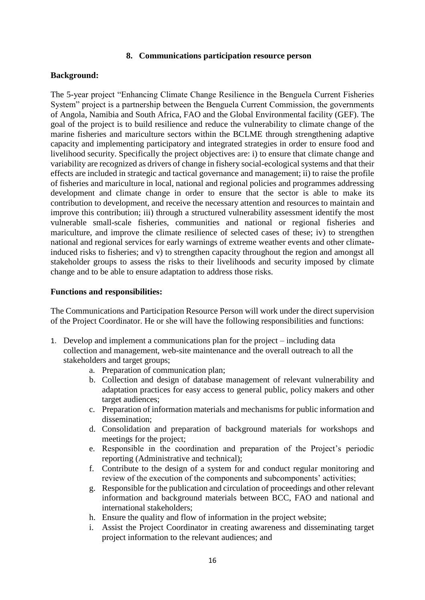#### **8. Communications participation resource person**

## **Background:**

The 5-year project "Enhancing Climate Change Resilience in the Benguela Current Fisheries System" project is a partnership between the Benguela Current Commission, the governments of Angola, Namibia and South Africa, FAO and the Global Environmental facility (GEF). The goal of the project is to build resilience and reduce the vulnerability to climate change of the marine fisheries and mariculture sectors within the BCLME through strengthening adaptive capacity and implementing participatory and integrated strategies in order to ensure food and livelihood security. Specifically the project objectives are: i) to ensure that climate change and variability are recognized as drivers of change in fishery social-ecological systems and that their effects are included in strategic and tactical governance and management; ii) to raise the profile of fisheries and mariculture in local, national and regional policies and programmes addressing development and climate change in order to ensure that the sector is able to make its contribution to development, and receive the necessary attention and resources to maintain and improve this contribution; iii) through a structured vulnerability assessment identify the most vulnerable small-scale fisheries, communities and national or regional fisheries and mariculture, and improve the climate resilience of selected cases of these; iv) to strengthen national and regional services for early warnings of extreme weather events and other climateinduced risks to fisheries; and v) to strengthen capacity throughout the region and amongst all stakeholder groups to assess the risks to their livelihoods and security imposed by climate change and to be able to ensure adaptation to address those risks.

### **Functions and responsibilities:**

The Communications and Participation Resource Person will work under the direct supervision of the Project Coordinator. He or she will have the following responsibilities and functions:

- 1. Develop and implement a communications plan for the project including data collection and management, web-site maintenance and the overall outreach to all the stakeholders and target groups;
	- a. Preparation of communication plan;
	- b. Collection and design of database management of relevant vulnerability and adaptation practices for easy access to general public, policy makers and other target audiences;
	- c. Preparation of information materials and mechanisms for public information and dissemination;
	- d. Consolidation and preparation of background materials for workshops and meetings for the project;
	- e. Responsible in the coordination and preparation of the Project's periodic reporting (Administrative and technical);
	- f. Contribute to the design of a system for and conduct regular monitoring and review of the execution of the components and subcomponents' activities;
	- g. Responsible for the publication and circulation of proceedings and other relevant information and background materials between BCC, FAO and national and international stakeholders;
	- h. Ensure the quality and flow of information in the project website;
	- i. Assist the Project Coordinator in creating awareness and disseminating target project information to the relevant audiences; and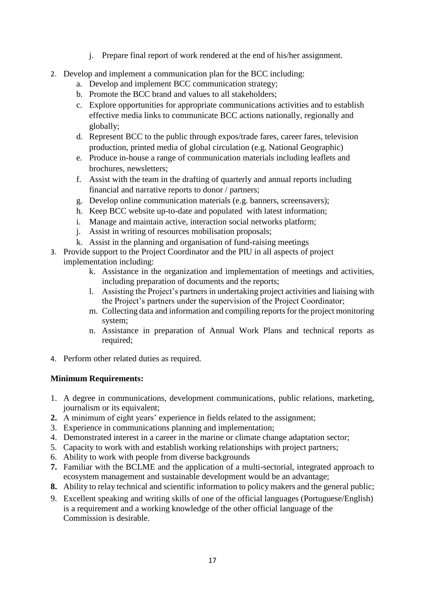- j. Prepare final report of work rendered at the end of his/her assignment.
- 2. Develop and implement a communication plan for the BCC including:
	- a. Develop and implement BCC communication strategy;
	- b. Promote the BCC brand and values to all stakeholders;
	- c. Explore opportunities for appropriate communications activities and to establish effective media links to communicate BCC actions nationally, regionally and globally;
	- d. Represent BCC to the public through expos/trade fares, career fares, television production, printed media of global circulation (e.g. National Geographic)
	- e. Produce in-house a range of communication materials including leaflets and brochures, newsletters;
	- f. Assist with the team in the drafting of quarterly and annual reports including financial and narrative reports to donor / partners;
	- g. Develop online communication materials (e.g. banners, screensavers);
	- h. Keep BCC website up-to-date and populated with latest information;
	- i. Manage and maintain active, interaction social networks platform;
	- j. Assist in writing of resources mobilisation proposals;
	- k. Assist in the planning and organisation of fund-raising meetings
- 3. Provide support to the Project Coordinator and the PIU in all aspects of project implementation including:
	- k. Assistance in the organization and implementation of meetings and activities, including preparation of documents and the reports;
	- l. Assisting the Project's partners in undertaking project activities and liaising with the Project's partners under the supervision of the Project Coordinator;
	- m. Collecting data and information and compiling reports for the project monitoring system;
	- n. Assistance in preparation of Annual Work Plans and technical reports as required;
- 4. Perform other related duties as required.

- 1. A degree in communications, development communications, public relations, marketing, journalism or its equivalent;
- **2.** A minimum of eight years' experience in fields related to the assignment;
- 3. Experience in communications planning and implementation;
- 4. Demonstrated interest in a career in the marine or climate change adaptation sector;
- 5. Capacity to work with and establish working relationships with project partners;
- 6. Ability to work with people from diverse backgrounds
- **7.** Familiar with the BCLME and the application of a multi-sectorial, integrated approach to ecosystem management and sustainable development would be an advantage;
- **8.** Ability to relay technical and scientific information to policy makers and the general public;
- 9. Excellent speaking and writing skills of one of the official languages (Portuguese/English) is a requirement and a working knowledge of the other official language of the Commission is desirable.